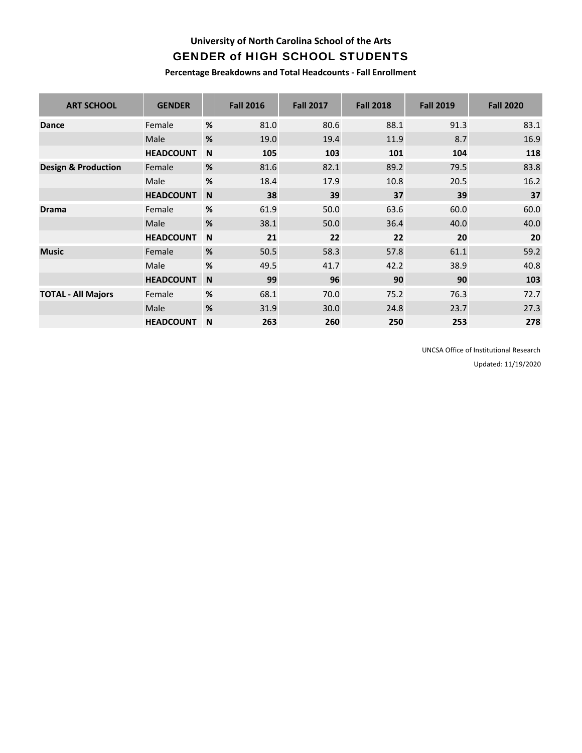## **University of North Carolina School of the Arts** GENDER of HIGH SCHOOL STUDENTS

**Percentage Breakdowns and Total Headcounts ‐ Fall Enrollment**

| <b>ART SCHOOL</b>              | <b>GENDER</b>    |      | <b>Fall 2016</b> | <b>Fall 2017</b> | <b>Fall 2018</b> | <b>Fall 2019</b> | <b>Fall 2020</b> |
|--------------------------------|------------------|------|------------------|------------------|------------------|------------------|------------------|
| <b>Dance</b>                   | Female           | $\%$ | 81.0             | 80.6             | 88.1             | 91.3             | 83.1             |
|                                | Male             | $\%$ | 19.0             | 19.4             | 11.9             | 8.7              | 16.9             |
|                                | <b>HEADCOUNT</b> | N    | 105              | 103              | 101              | 104              | 118              |
| <b>Design &amp; Production</b> | Female           | %    | 81.6             | 82.1             | 89.2             | 79.5             | 83.8             |
|                                | Male             | %    | 18.4             | 17.9             | 10.8             | 20.5             | 16.2             |
|                                | <b>HEADCOUNT</b> | N.   | 38               | 39               | 37               | 39               | 37               |
| <b>Drama</b>                   | Female           | %    | 61.9             | 50.0             | 63.6             | 60.0             | 60.0             |
|                                | Male             | %    | 38.1             | 50.0             | 36.4             | 40.0             | 40.0             |
|                                | <b>HEADCOUNT</b> | N    | 21               | 22               | 22               | 20               | 20               |
| <b>Music</b>                   | Female           | %    | 50.5             | 58.3             | 57.8             | 61.1             | 59.2             |
|                                | Male             | %    | 49.5             | 41.7             | 42.2             | 38.9             | 40.8             |
|                                | <b>HEADCOUNT</b> | N.   | 99               | 96               | 90               | 90               | 103              |
| <b>TOTAL - All Majors</b>      | Female           | %    | 68.1             | 70.0             | 75.2             | 76.3             | 72.7             |
|                                | Male             | %    | 31.9             | 30.0             | 24.8             | 23.7             | 27.3             |
|                                | <b>HEADCOUNT</b> | N    | 263              | 260              | 250              | 253              | 278              |

UNCSA Office of Institutional Research

Updated: 11/19/2020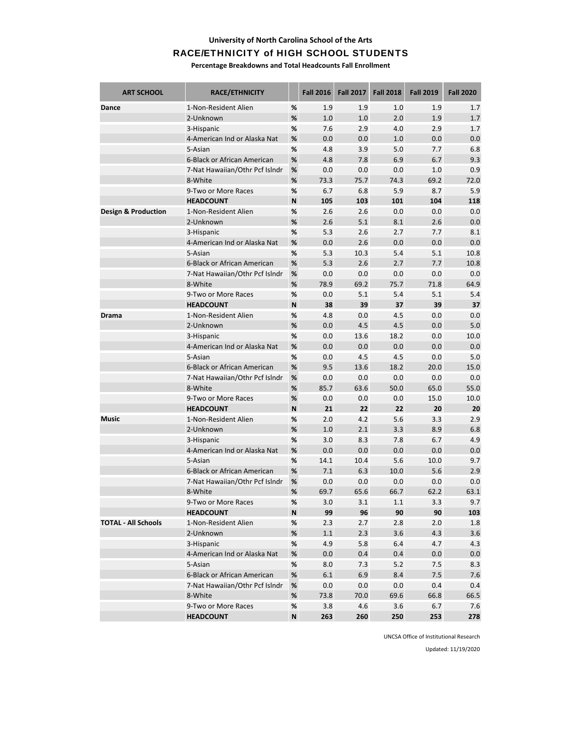#### **University of North Carolina School of the Arts**

#### RACE/ETHNICITY of HIGH SCHOOL STUDENTS

**Percentage Breakdowns and Total Headcounts Fall Enrollment**

| <b>ART SCHOOL</b>              | RACE/ETHNICITY                             |        | <b>Fall 2016</b> | <b>Fall 2017</b> | <b>Fall 2018</b> | <b>Fall 2019</b> | <b>Fall 2020</b> |
|--------------------------------|--------------------------------------------|--------|------------------|------------------|------------------|------------------|------------------|
| Dance                          | 1-Non-Resident Alien                       | %      | 1.9              | 1.9              | 1.0              | 1.9              | 1.7              |
|                                | 2-Unknown                                  | %      | 1.0              | 1.0              | 2.0              | 1.9              | 1.7              |
|                                | 3-Hispanic                                 | %      | 7.6              | 2.9              | 4.0              | 2.9              | 1.7              |
|                                | 4-American Ind or Alaska Nat               | %      | 0.0              | 0.0              | 1.0              | 0.0              | 0.0              |
|                                | 5-Asian                                    | %      | 4.8              | 3.9              | 5.0              | 7.7              | 6.8              |
|                                | 6-Black or African American                | $\%$   | 4.8              | 7.8              | 6.9              | 6.7              | 9.3              |
|                                | 7-Nat Hawaiian/Othr Pcf Islndr             | $\%$   | 0.0              | 0.0              | 0.0              | 1.0              | 0.9              |
|                                | 8-White                                    | %      | 73.3             | 75.7             | 74.3             | 69.2             | 72.0             |
|                                | 9-Two or More Races                        | %      | 6.7              | 6.8              | 5.9              | 8.7              | 5.9              |
|                                | <b>HEADCOUNT</b>                           | N      | 105              | 103              | 101              | 104              | 118              |
| <b>Design &amp; Production</b> | 1-Non-Resident Alien                       | $\%$   | 2.6              | 2.6              | 0.0              | 0.0              | 0.0              |
|                                | 2-Unknown                                  | %      | 2.6              | 5.1              | 8.1              | 2.6              | 0.0              |
|                                | 3-Hispanic                                 | %      | 5.3              | 2.6              | 2.7              | 7.7              | 8.1              |
|                                | 4-American Ind or Alaska Nat               | $\%$   | 0.0              | 2.6              | 0.0              | 0.0              | 0.0              |
|                                | 5-Asian                                    | %      | 5.3              | 10.3             | 5.4              | 5.1              | 10.8             |
|                                | 6-Black or African American                | $\%$   | 5.3              | 2.6              | 2.7              | 7.7              | 10.8             |
|                                | 7-Nat Hawaiian/Othr Pcf Islndr             | $\%$   | 0.0              | 0.0              | 0.0              | 0.0              | 0.0              |
|                                | 8-White                                    | %      | 78.9             | 69.2             | 75.7             | 71.8             | 64.9             |
|                                | 9-Two or More Races                        | %      | 0.0              | 5.1              | 5.4              | 5.1              | 5.4              |
|                                | <b>HEADCOUNT</b>                           | N      | 38               | 39               | 37               | 39               | 37               |
| <b>Drama</b>                   | 1-Non-Resident Alien                       | %      | 4.8              | 0.0              | 4.5              | 0.0              | 0.0              |
|                                | 2-Unknown                                  | %      | 0.0              | 4.5              | 4.5              | 0.0              | 5.0              |
|                                | 3-Hispanic                                 | %      | 0.0              | 13.6             | 18.2             | 0.0              | 10.0             |
|                                | 4-American Ind or Alaska Nat               | $\%$   | 0.0              | 0.0              | 0.0              | 0.0              | 0.0              |
|                                | 5-Asian                                    | %      | 0.0              | 4.5              | 4.5              | 0.0              | 5.0              |
|                                | 6-Black or African American                | $\%$   | 9.5              | 13.6             | 18.2             | 20.0             | 15.0             |
|                                | 7-Nat Hawaiian/Othr Pcf Islndr             | $\%$   | 0.0              | 0.0              | 0.0              | 0.0              | 0.0              |
|                                | 8-White                                    | %      | 85.7             | 63.6             | 50.0             | 65.0             | 55.0             |
|                                | 9-Two or More Races                        | %      | 0.0              | 0.0              | 0.0              | 15.0             | 10.0             |
|                                | <b>HEADCOUNT</b>                           | N      | 21               | 22               | 22               | 20               | 20               |
| <b>Music</b>                   | 1-Non-Resident Alien                       | %      | 2.0              | 4.2              | 5.6              | 3.3              | 2.9              |
|                                | 2-Unknown                                  | %<br>% | 1.0<br>3.0       | 2.1<br>8.3       | 3.3<br>7.8       | 8.9<br>6.7       | 6.8<br>4.9       |
|                                | 3-Hispanic<br>4-American Ind or Alaska Nat | %      | 0.0              | 0.0              | 0.0              | 0.0              | 0.0              |
|                                | 5-Asian                                    | %      | 14.1             | 10.4             | 5.6              | 10.0             | 9.7              |
|                                | 6-Black or African American                | $\%$   | 7.1              | 6.3              | 10.0             | 5.6              | 2.9              |
|                                | 7-Nat Hawaiian/Othr Pcf Islndr             | %      | 0.0              | 0.0              | 0.0              | 0.0              | 0.0              |
|                                | 8-White                                    | %      | 69.7             | 65.6             | 66.7             | 62.2             | 63.1             |
|                                | 9-Two or More Races                        | %      | 3.0              | 3.1              | 1.1              | 3.3              | 9.7              |
|                                | <b>HEADCOUNT</b>                           | N      | 99               | 96               | 90               | 90               | 103              |
| <b>TOTAL - All Schools</b>     | 1-Non-Resident Alien                       | %      | 2.3              | 2.7              | 2.8              | 2.0              | 1.8              |
|                                | 2-Unknown                                  | $\%$   | 1.1              | 2.3              | 3.6              | 4.3              | 3.6              |
|                                | 3-Hispanic                                 | %      | 4.9              | 5.8              | 6.4              | 4.7              | 4.3              |
|                                | 4-American Ind or Alaska Nat               | %      | 0.0              | 0.4              | 0.4              | 0.0              | 0.0              |
|                                | 5-Asian                                    | $\%$   | 8.0              | 7.3              | 5.2              | 7.5              | 8.3              |
|                                | 6-Black or African American                | $\%$   | 6.1              | 6.9              | 8.4              | 7.5              | 7.6              |
|                                | 7-Nat Hawaiian/Othr Pcf Islndr             | %      | 0.0              | 0.0              | 0.0              | 0.4              | 0.4              |
|                                | 8-White                                    | %      | 73.8             | 70.0             | 69.6             | 66.8             | 66.5             |
|                                | 9-Two or More Races                        | %      | 3.8              | 4.6              | 3.6              | 6.7              | 7.6              |
|                                | <b>HEADCOUNT</b>                           | N      | 263              | 260              | 250              | 253              | 278              |

UNCSA Office of Institutional Research

Updated: 11/19/2020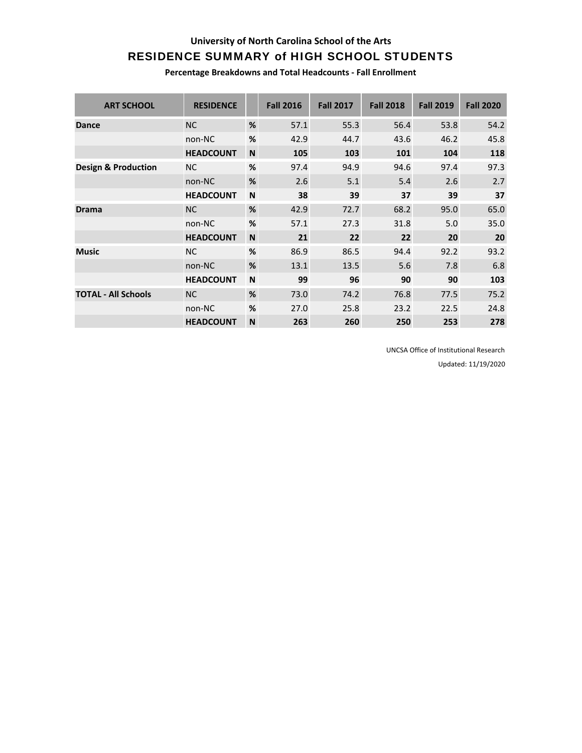### **University of North Carolina School of the Arts**

# RESIDENCE SUMMARY of HIGH SCHOOL STUDENTS

**Percentage Breakdowns and Total Headcounts ‐ Fall Enrollment**

| <b>ART SCHOOL</b>              | <b>RESIDENCE</b> |              | <b>Fall 2016</b> | <b>Fall 2017</b> | <b>Fall 2018</b> | <b>Fall 2019</b> | <b>Fall 2020</b> |
|--------------------------------|------------------|--------------|------------------|------------------|------------------|------------------|------------------|
| <b>Dance</b>                   | <b>NC</b>        | %            | 57.1             | 55.3             | 56.4             | 53.8             | 54.2             |
|                                | non-NC           | %            | 42.9             | 44.7             | 43.6             | 46.2             | 45.8             |
|                                | <b>HEADCOUNT</b> | N            | 105              | 103              | 101              | 104              | 118              |
| <b>Design &amp; Production</b> | <b>NC</b>        | %            | 97.4             | 94.9             | 94.6             | 97.4             | 97.3             |
|                                | non-NC           | %            | 2.6              | 5.1              | 5.4              | 2.6              | 2.7              |
|                                | <b>HEADCOUNT</b> | N            | 38               | 39               | 37               | 39               | 37               |
| <b>Drama</b>                   | <b>NC</b>        | %            | 42.9             | 72.7             | 68.2             | 95.0             | 65.0             |
|                                | non-NC           | %            | 57.1             | 27.3             | 31.8             | 5.0              | 35.0             |
|                                | <b>HEADCOUNT</b> | N            | 21               | 22               | 22               | 20               | 20               |
| <b>Music</b>                   | <b>NC</b>        | %            | 86.9             | 86.5             | 94.4             | 92.2             | 93.2             |
|                                | non-NC           | %            | 13.1             | 13.5             | 5.6              | 7.8              | 6.8              |
|                                | <b>HEADCOUNT</b> | $\mathsf{N}$ | 99               | 96               | 90               | 90               | 103              |
| <b>TOTAL - All Schools</b>     | <b>NC</b>        | %            | 73.0             | 74.2             | 76.8             | 77.5             | 75.2             |
|                                | non-NC           | %            | 27.0             | 25.8             | 23.2             | 22.5             | 24.8             |
|                                | <b>HEADCOUNT</b> | N            | 263              | 260              | 250              | 253              | 278              |

UNCSA Office of Institutional Research

Updated: 11/19/2020